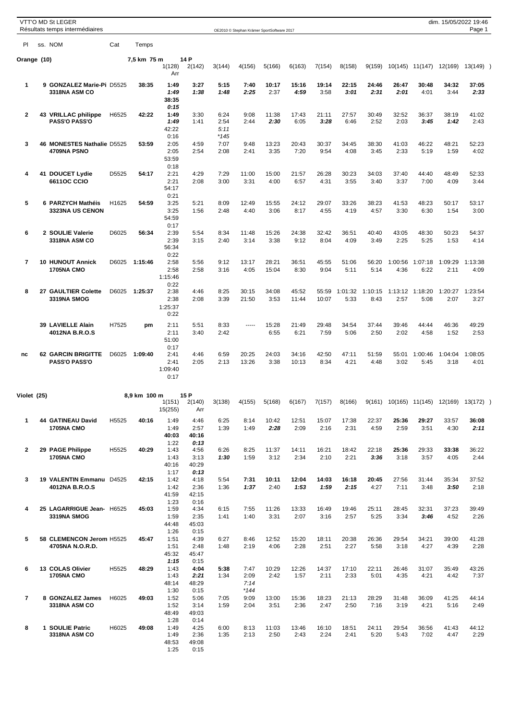|                | <b>VTT'O MD St LEGER</b><br>Résultats temps intermédiaires |       |              |                                         |                               |                        | OE2010 © Stephan Krämer SportSoftware 2017 |                |                |                |                 |                 |                 |                 | dim. 15/05/2022 19:46                    | Page 1          |  |
|----------------|------------------------------------------------------------|-------|--------------|-----------------------------------------|-------------------------------|------------------------|--------------------------------------------|----------------|----------------|----------------|-----------------|-----------------|-----------------|-----------------|------------------------------------------|-----------------|--|
| PI             | ss. NOM                                                    | Cat   | Temps        |                                         |                               |                        |                                            |                |                |                |                 |                 |                 |                 |                                          |                 |  |
| Orange (10)    |                                                            |       | 7,5 km 75 m  | 1(128)<br>Arr                           | 14 P<br>2(142)                | 3(144)                 | 4(156)                                     | 5(166)         | 6(163)         | 7(154)         | 8(158)          | 9(159)          |                 | 10(145) 11(147) | 12(169)                                  | $13(149)$ )     |  |
| 1              | 9 GONZALEZ Marie-Pi D5525<br>3318NA ASM CO                 |       | 38:35        | 1:49<br>1:49<br>38:35                   | 3:27<br>1:38                  | 5:15<br>1:48           | 7:40<br>2:25                               | 10:17<br>2:37  | 15:16<br>4:59  | 19:14<br>3:58  | 22:15<br>3:01   | 24:46<br>2:31   | 26:47<br>2:01   | 30:48<br>4:01   | 34:32<br>3:44                            | 37:05<br>2:33   |  |
| 2              | 43 VRILLAC philippe<br><b>PASS'O PASS'O</b>                | H6525 | 42:22        | 0:15<br>1:49<br>1:49<br>42:22           | 3:30<br>1:41                  | 6:24<br>2:54<br>5:11   | 9:08<br>2:44                               | 11:38<br>2:30  | 17:43<br>6:05  | 21:11<br>3:28  | 27:57<br>6:46   | 30:49<br>2:52   | 32:52<br>2:03   | 36:37<br>3:45   | 38:19<br>1:42                            | 41:02<br>2:43   |  |
| 3              | 46 MONESTES Nathalie D5525<br>4709NA PSNO                  |       | 53:59        | 0:16<br>2:05<br>2:05<br>53:59           | 4:59<br>2:54                  | $*145$<br>7:07<br>2:08 | 9:48<br>2:41                               | 13:23<br>3:35  | 20:43<br>7:20  | 30:37<br>9:54  | 34:45<br>4:08   | 38:30<br>3:45   | 41:03<br>2:33   | 46:22<br>5:19   | 48:21<br>1:59                            | 52:23<br>4:02   |  |
| 4              | 41 DOUCET Lydie<br><b>6611OC CCIO</b>                      | D5525 | 54:17        | 0:18<br>2:21<br>2:21<br>54:17           | 4:29<br>2:08                  | 7:29<br>3:00           | 11:00<br>3:31                              | 15:00<br>4:00  | 21:57<br>6:57  | 26:28<br>4:31  | 30:23<br>3:55   | 34:03<br>3:40   | 37:40<br>3:37   | 44:40<br>7:00   | 48:49<br>4:09                            | 52:33<br>3:44   |  |
| 5              | 6 PARZYCH Mathéis<br><b>3323NA US CENON</b>                | H1625 | 54:59        | 0:21<br>3:25<br>3:25<br>54:59           | 5:21<br>1:56                  | 8:09<br>2:48           | 12:49<br>4:40                              | 15:55<br>3:06  | 24:12<br>8:17  | 29:07<br>4:55  | 33:26<br>4:19   | 38:23<br>4:57   | 41:53<br>3:30   | 48:23<br>6:30   | 50:17<br>1:54                            | 53:17<br>3:00   |  |
| 6              | 2 SOULIE Valerie<br>3318NA ASM CO                          | D6025 | 56:34        | 0:17<br>2:39<br>2:39<br>56:34           | 5:54<br>3:15                  | 8:34<br>2:40           | 11:48<br>3:14                              | 15:26<br>3:38  | 24:38<br>9:12  | 32:42<br>8:04  | 36:51<br>4:09   | 40:40<br>3:49   | 43:05<br>2:25   | 48:30<br>5:25   | 50:23<br>1:53                            | 54:37<br>4:14   |  |
| $\overline{7}$ | <b>10 HUNOUT Annick</b><br><b>1705NA CMO</b>               | D6025 | 1:15:46      | 0:22<br>2:58<br>2:58<br>1:15:46         | 5:56<br>2:58                  | 9:12<br>3:16           | 13:17<br>4:05                              | 28:21<br>15:04 | 36:51<br>8:30  | 45:55<br>9:04  | 51:06<br>5:11   | 56:20<br>5:14   | 1:00:56<br>4:36 | 1:07:18<br>6:22 | 1:09:29<br>2:11                          | 1:13:38<br>4:09 |  |
| 8              | 27 GAULTIER Colette<br>3319NA SMOG                         | D6025 | 1:25:37      | 0:22<br>2:38<br>2:38<br>1:25:37<br>0:22 | 4:46<br>2:08                  | 8:25<br>3:39           | 30:15<br>21:50                             | 34:08<br>3:53  | 45:52<br>11:44 | 55:59<br>10:07 | 1:01:32<br>5:33 | 1:10:15<br>8:43 | 1:13:12<br>2:57 | 1:18:20<br>5:08 | 1:20:27<br>2:07                          | 1:23:54<br>3:27 |  |
|                | 39 LAVIELLE Alain<br>4012NA B.R.O.S                        | H7525 | pm           | 2:11<br>2:11<br>51:00<br>0:17           | 5:51<br>3:40                  | 8:33<br>2:42           | -----                                      | 15:28<br>6:55  | 21:49<br>6:21  | 29:48<br>7:59  | 34:54<br>5:06   | 37:44<br>2:50   | 39:46<br>2:02   | 44:44<br>4:58   | 46:36<br>1:52                            | 49:29<br>2:53   |  |
| nc             | <b>62 GARCIN BRIGITTE</b><br><b>PASS'O PASS'O</b>          | D6025 | 1:09:40      | 2:41<br>2:41<br>1:09:40<br>0:17         | 4:46<br>2:05                  | 6:59<br>2:13           | 20:25<br>13:26                             | 24:03<br>3:38  | 34:16<br>10:13 | 42:50<br>8:34  | 47:11<br>4:21   | 51:59<br>4:48   | 55:01<br>3:02   | 1:00:46<br>5:45 | 1:04:04<br>3:18                          | 1:08:05<br>4:01 |  |
| Violet (25)    |                                                            |       | 8,9 km 100 m |                                         | 15 P                          |                        |                                            |                |                |                |                 |                 |                 |                 |                                          |                 |  |
|                |                                                            |       |              | 1(151)<br>15(255)                       | 2(140)<br>Arr                 | 3(138)                 | 4(155)                                     | 5(168)         | 6(167)         | 7(157)         | 8(166)          |                 |                 |                 | 9(161) 10(165) 11(145) 12(169) 13(172) ) |                 |  |
| 1              | 44 GATINEAU David<br><b>1705NA CMO</b>                     | H5525 | 40:16        | 1:49<br>1:49<br>40:03<br>1:22           | 4:46<br>2:57<br>40:16<br>0:13 | 6:25<br>1:39           | 8:14<br>1:49                               | 10:42<br>2:28  | 12:51<br>2:09  | 15:07<br>2:16  | 17:38<br>2:31   | 22:37<br>4:59   | 25:36<br>2:59   | 29:27<br>3:51   | 33:57<br>4:30                            | 36:08<br>2:11   |  |
| 2              | 29 PAGE Philippe<br><b>1705NA CMO</b>                      | H5525 | 40:29        | 1:43<br>1:43<br>40:16<br>1:17           | 4:56<br>3:13<br>40:29<br>0:13 | 6:26<br>1:30           | 8:25<br>1:59                               | 11:37<br>3:12  | 14:11<br>2:34  | 16:21<br>2:10  | 18:42<br>2:21   | 22:18<br>3:36   | 25:36<br>3:18   | 29:33<br>3:57   | 33:38<br>4:05                            | 36:22<br>2:44   |  |
| 3              | 19 VALENTIN Emmanu D4525<br>4012NA B.R.O.S                 |       | 42:15        | 1:42<br>1:42<br>41:59<br>1:23           | 4:18<br>2:36<br>42:15<br>0:16 | 5:54<br>1:36           | 7:31<br>1:37                               | 10:11<br>2:40  | 12:04<br>1:53  | 14:03<br>1:59  | 16:18<br>2:15   | 20:45<br>4:27   | 27:56<br>7:11   | 31:44<br>3:48   | 35:34<br>3:50                            | 37:52<br>2:18   |  |
| 4              | 25 LAGARRIGUE Jean- H6525<br>3319NA SMOG                   |       | 45:03        | 1:59<br>1:59<br>44:48<br>1:26           | 4:34<br>2:35<br>45:03<br>0:15 | 6:15<br>1:41           | 7:55<br>1:40                               | 11:26<br>3:31  | 13:33<br>2:07  | 16:49<br>3:16  | 19:46<br>2:57   | 25:11<br>5:25   | 28:45<br>3:34   | 32:31<br>3:46   | 37:23<br>4:52                            | 39:49<br>2:26   |  |
| 5              | 58 CLEMENCON Jerom H5525<br>4705NA N.O.R.D.                |       | 45:47        | 1:51<br>1:51<br>45:32<br>1:15           | 4:39<br>2:48<br>45:47<br>0:15 | 6:27<br>1:48           | 8:46<br>2:19                               | 12:52<br>4:06  | 15:20<br>2:28  | 18:11<br>2:51  | 20:38<br>2:27   | 26:36<br>5:58   | 29:54<br>3:18   | 34:21<br>4:27   | 39:00<br>4:39                            | 41:28<br>2:28   |  |
| 6              | 13 COLAS Olivier<br><b>1705NA CMO</b>                      | H5525 | 48:29        | 1:43<br>1:43<br>48:14<br>1:30           | 4:04<br>2:21<br>48:29<br>0:15 | 5:38<br>1:34           | 7:47<br>2:09<br>7:14<br>*144               | 10:29<br>2:42  | 12:26<br>1:57  | 14:37<br>2:11  | 17:10<br>2:33   | 22:11<br>5:01   | 26:46<br>4:35   | 31:07<br>4:21   | 35:49<br>4:42                            | 43:26<br>7:37   |  |
| 7              | 8 GONZALEZ James<br>3318NA ASM CO                          | H6025 | 49:03        | 1:52<br>1:52<br>48:49<br>1:28           | 5:06<br>3:14<br>49:03<br>0:14 | 7:05<br>1:59           | 9:09<br>2:04                               | 13:00<br>3:51  | 15:36<br>2:36  | 18:23<br>2:47  | 21:13<br>2:50   | 28:29<br>7:16   | 31:48<br>3:19   | 36:09<br>4:21   | 41:25<br>5:16                            | 44:14<br>2:49   |  |
| 8              | 1 SOULIE Patric<br>3318NA ASM CO                           | H6025 | 49:08        | 1:49<br>1:49<br>48:53<br>1:25           | 4:25<br>2:36<br>49:08<br>0:15 | 6:00<br>1:35           | 8:13<br>2:13                               | 11:03<br>2:50  | 13:46<br>2:43  | 16:10<br>2:24  | 18:51<br>2:41   | 24:11<br>5:20   | 29:54<br>5:43   | 36:56<br>7:02   | 41:43<br>4:47                            | 44:12<br>2:29   |  |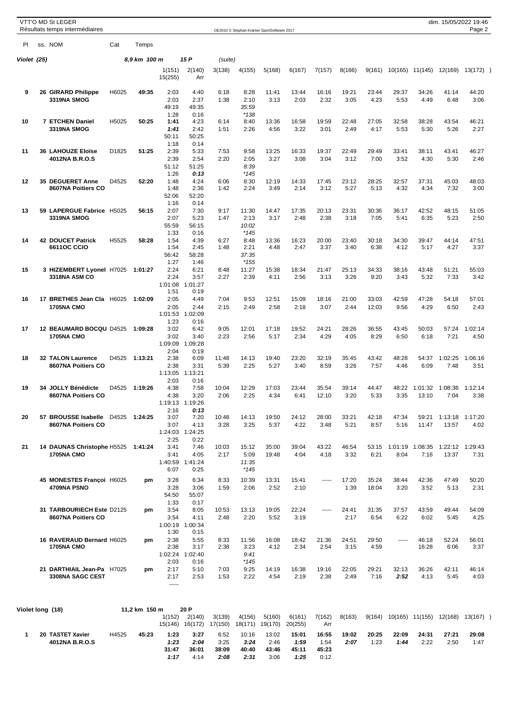|             | <b>VTT'O MD St LEGER</b><br>Résultats temps intermédiaires |       |               |                       |                           |                   | OE2010 © Stephan Krämer SportSoftware 2017 |                   |                   |               |               |               |               |                |                         | dim. 15/05/2022 19:46<br>Page 2 |      |
|-------------|------------------------------------------------------------|-------|---------------|-----------------------|---------------------------|-------------------|--------------------------------------------|-------------------|-------------------|---------------|---------------|---------------|---------------|----------------|-------------------------|---------------------------------|------|
| PI          | ss. NOM                                                    | Cat   | Temps         |                       |                           |                   |                                            |                   |                   |               |               |               |               |                |                         |                                 |      |
| Violet (25) |                                                            |       | 8,9 km 100 m  |                       | 15 P                      | (suite)           |                                            |                   |                   |               |               |               |               |                |                         |                                 |      |
|             |                                                            |       |               | 1(151)<br>15(255)     | 2(140)<br>Arr             | 3(138)            | 4(155)                                     | 5(168)            | 6(167)            | 7(157)        | 8(166)        | 9(161)        | 10(165)       | 11(145)        | 12(169)                 | $13(172)$ )                     |      |
| 9           | 26 GIRARD Philippe                                         | H6025 | 49:35         | 2:03                  | 4:40                      | 6:18              | 8:28                                       | 11:41             | 13:44             | 16:16         | 19:21         | 23:44         | 29:37         | 34:26          | 41:14                   | 44:20                           |      |
|             | 3319NA SMOG                                                |       |               | 2:03<br>49:19         | 2:37<br>49:35             | 1:38              | 2:10<br>35:59                              | 3:13              | 2:03              | 2:32          | 3:05          | 4:23          | 5:53          | 4:49           | 6:48                    | 3:06                            |      |
|             |                                                            |       |               | 1:28                  | 0:16                      |                   | $*138$                                     |                   |                   |               |               |               |               |                |                         |                                 |      |
| 10          | 7 ETCHEN Daniel                                            | H5025 | 50:25         | 1:41                  | 4:23                      | 6:14              | 8:40                                       | 13:36             | 16:58<br>3:22     | 19:59<br>3:01 | 22:48<br>2:49 | 27:05         | 32:58         | 38:28          | 43:54                   | 46:21                           |      |
|             | 3319NA SMOG                                                |       |               | 1:41<br>50:11<br>1:18 | 2:42<br>50:25<br>0:14     | 1:51              | 2:26                                       | 4:56              |                   |               |               | 4:17          | 5:53          | 5:30           | 5:26                    | 2:27                            |      |
| 11          | 36 LAHOUZE Eloïse<br>4012NA B.R.O.S                        | D1825 | 51:25         | 2:39<br>2:39          | 5:33<br>2:54              | 7:53<br>2:20      | 9:58<br>2:05                               | 13:25<br>3:27     | 16:33<br>3:08     | 19:37<br>3:04 | 22:49<br>3:12 | 29:49<br>7:00 | 33:41<br>3:52 | 38:11<br>4:30  | 43:41<br>5:30           | 46:27<br>2:46                   |      |
|             |                                                            |       |               | 51:12                 | 51:25                     |                   | 8:39                                       |                   |                   |               |               |               |               |                |                         |                                 |      |
|             |                                                            |       |               | 1:26                  | 0:13                      |                   | $*145$                                     |                   |                   |               |               |               |               |                |                         |                                 |      |
| 12          | <b>35 DEGUERET Anne</b><br>8607NA Poitiers CO              | D4525 | 52:20         | 1:48<br>1:48          | 4:24<br>2:36              | 6:06<br>1:42      | 8:30<br>2:24                               | 12:19<br>3:49     | 14:33<br>2:14     | 17:45<br>3:12 | 23:12<br>5:27 | 28:25<br>5:13 | 32:57<br>4:32 | 37:31<br>4:34  | 45:03<br>7:32           | 48:03<br>3:00                   |      |
|             |                                                            |       |               | 52:06                 | 52:20                     |                   |                                            |                   |                   |               |               |               |               |                |                         |                                 |      |
| 13          | 59 LAPERGUE Fabrice H5025                                  |       | 56:15         | 1:16<br>2:07          | 0:14<br>7:30              | 9:17              | 11:30                                      | 14:47             | 17:35             | 20:13         | 23:31         | 30:36         | 36:17         | 42:52          | 48:15                   | 51:05                           |      |
|             | 3319NA SMOG                                                |       |               | 2:07                  | 5:23                      | 1:47              | 2:13                                       | 3:17              | 2:48              | 2:38          | 3:18          | 7:05          | 5:41          | 6:35           | 5:23                    | 2:50                            |      |
|             |                                                            |       |               | 55:59                 | 56:15                     |                   | 10:02                                      |                   |                   |               |               |               |               |                |                         |                                 |      |
| 14          | <b>42 DOUCET Patrick</b>                                   | H5525 | 58:28         | 1:33<br>1:54          | 0:16<br>4:39              | 6:27              | $*145$<br>8:48                             | 13:36             | 16:23             | 20:00         | 23:40         | 30:18         | 34:30         | 39:47          | 44:14                   | 47:51                           |      |
|             | <b>6611OC CCIO</b>                                         |       |               | 1:54                  | 2:45                      | 1:48              | 2:21                                       | 4:48              | 2:47              | 3:37          | 3:40          | 6:38          | 4:12          | 5:17           | 4:27                    | 3:37                            |      |
|             |                                                            |       |               | 56:42<br>1:27         | 58:28<br>1:46             |                   | 37:35<br>$*155$                            |                   |                   |               |               |               |               |                |                         |                                 |      |
| 15          | 3 HIZEMBERT Lyonel H7025                                   |       | 1:01:27       | 2:24                  | 6:21                      | 8:48              | 11:27                                      | 15:38             | 18:34             | 21:47         | 25:13         | 34:33         | 38:16         | 43:48          | 51:21                   | 55:03                           |      |
|             | <b>3318NA ASM CO</b>                                       |       |               | 2:24<br>1:01:08       | 3:57<br>1:01:27           | 2:27              | 2:39                                       | 4:11              | 2:56              | 3:13          | 3:26          | 9:20          | 3:43          | 5:32           | 7:33                    | 3:42                            |      |
|             |                                                            |       |               | 1:51                  | 0:19                      |                   |                                            |                   |                   |               |               |               |               |                |                         |                                 |      |
| 16          | 17 BRETHES Jean Cla H6025                                  |       | 1:02:09       | 2:05                  | 4:49                      | 7:04              | 9:53                                       | 12:51             | 15:09             | 18:16         | 21:00         | 33:03         | 42:59         | 47:28          | 54:18                   | 57:01                           |      |
|             | <b>1705NA CMO</b>                                          |       |               | 2:05<br>1:01:53       | 2:44<br>1:02:09           | 2:15              | 2:49                                       | 2:58              | 2:18              | 3:07          | 2:44          | 12:03         | 9:56          | 4:29           | 6:50                    |                                 | 2:43 |
|             |                                                            |       |               | 1:23                  | 0:16                      |                   |                                            |                   |                   |               |               |               |               |                |                         |                                 | 4:50 |
| 17          | 12 BEAUMARD BOCQU D4525<br><b>1705NA CMO</b>               |       | 1:09:28       | 3:02<br>3:02          | 6:42<br>3:40              | 9:05<br>2:23      | 12:01<br>2:56                              | 17:18<br>5:17     | 19:52<br>2:34     | 24:21<br>4:29 | 28:26<br>4:05 | 36:55<br>8:29 | 43:45<br>6:50 | 50:03<br>6:18  | 57:24<br>7:21           | 1:02:14                         |      |
|             |                                                            |       |               | 1:09:09               | 1:09:28                   |                   |                                            |                   |                   |               |               |               |               |                |                         |                                 |      |
| 18          | <b>32 TALON Laurence</b>                                   | D4525 | 1:13:21       | 2:04<br>2:38          | 0:19<br>6:09              | 11:48             | 14:13                                      | 19:40             | 23:20             | 32:19         | 35:45         | 43:42         | 48:28         | 54:37          | 1:02:25                 | 1:06:16                         |      |
|             | 8607NA Poitiers CO                                         |       |               | 2:38                  | 3:31                      | 5:39              | 2:25                                       | 5:27              | 3:40              | 8:59          | 3:26          | 7:57          | 4:46          | 6:09           | 7:48                    | 3:51                            |      |
|             |                                                            |       |               | 1:13:05               | 1:13:21                   |                   |                                            |                   |                   |               |               |               |               |                |                         |                                 |      |
| 19          | 34 JOLLY Bénédicte                                         | D4525 | 1:19:26       | 2:03<br>4:38          | 0:16<br>7:58              | 10:04             | 12:29                                      | 17:03             | 23:44             | 35:54         | 39:14         | 44:47         | 48:22         | 1:01:32        | 1:08:36                 | 1:12:14                         |      |
|             | 8607NA Poitiers CO                                         |       |               | 4:38                  | 3:20                      | 2:06              | 2:25                                       | 4:34              | 6:41              | 12:10         | 3:20          | 5:33          | 3:35          | 13:10          | 7:04                    | 3:38                            |      |
|             |                                                            |       |               | 1:19:13<br>2:16       | 1:19:26<br>0:13           |                   |                                            |                   |                   |               |               |               |               |                |                         |                                 |      |
| 20          | 57 BROUSSE Isabelle D4525                                  |       | 1:24:25       | 3:07                  | 7:20                      | 10:48             | 14:13                                      | 19:50             | 24:12             | 28:00         | 33:21         | 42:18         | 47:34         | 59:21          |                         | 1:13:18 1:17:20                 |      |
|             | 8607NA Poitiers CO                                         |       |               | 3:07                  | 4:13<br>1:24:03 1:24:25   | 3:28              | 3:25                                       | 5:37              | 4:22              | 3:48          | 5:21          | 8:57          | 5:16          | 11:47          | 13:57                   | 4:02                            |      |
|             |                                                            |       |               | 2:25                  | 0:22                      |                   |                                            |                   |                   |               |               |               |               |                |                         |                                 |      |
| 21          | 14 DAUNAS Christophe H5525 1:41:24                         |       |               | 3:41                  | 7:46                      | 10:03             | 15:12                                      | 35:00             | 39:04             | 43:22         | 46:54         | 53:15         | 1:01:19       | 1:08:35        | 1:22:12                 | 1:29:43                         |      |
|             | <b>1705NA CMO</b>                                          |       |               | 3:41<br>1:40:59       | 4:05<br>1:41:24           | 2:17              | 5:09<br>11:35                              | 19:48             | 4:04              | 4:18          | 3:32          | 6:21          | 8:04          | 7:16           | 13:37                   | 7:31                            |      |
|             |                                                            |       |               | 6:07                  | 0:25                      |                   | $*145$                                     |                   |                   |               |               |               |               |                |                         |                                 |      |
|             | 45 MONESTES Françoi H6025                                  |       | pm            | 3:28                  | 6:34                      | 8:33              | 10:39                                      | 13:31             | 15:41             | -----         | 17:20         | 35:24         | 38:44         | 42:36          | 47:49                   | 50:20                           |      |
|             | 4709NA PSNO                                                |       |               | 3:28<br>54:50         | 3:06<br>55:07             | 1:59              | 2:06                                       | 2:52              | 2:10              |               | 1:39          | 18:04         | 3:20          | 3:52           | 5:13                    | 2:31                            |      |
|             |                                                            |       |               | 1:33                  | 0:17                      |                   |                                            |                   |                   |               |               |               |               |                |                         |                                 |      |
|             | 31 TARBOURIECH Este D2125<br>8607NA Poitiers CO            |       | pm            | 3:54<br>3:54          | 8:05<br>4:11              | 10:53<br>2:48     | 13:13<br>2:20                              | 19:05<br>5:52     | 22:24<br>3:19     | $- - - - -$   | 24:41<br>2:17 | 31:35<br>6:54 | 37:57<br>6:22 | 43:59<br>6:02  | 49:44<br>5:45           | 54:09<br>4:25                   |      |
|             |                                                            |       |               |                       | 1:00:19 1:00:34           |                   |                                            |                   |                   |               |               |               |               |                |                         |                                 |      |
|             |                                                            |       |               | 1:30                  | 0:15                      |                   |                                            |                   |                   |               |               |               |               |                |                         |                                 |      |
|             | 16 RAVERAUD Bernard H6025<br><b>1705NA CMO</b>             |       | pm            | 2:38<br>2:38          | 5:55<br>3:17              | 8:33<br>2:38      | 11:56<br>3:23                              | 16:08<br>4:12     | 18:42<br>2:34     | 21:36<br>2:54 | 24:51<br>3:15 | 29:50<br>4:59 | -----         | 46:18<br>16:28 | 52:24<br>6:06           | 56:01<br>3:37                   |      |
|             |                                                            |       |               |                       | 1:02:24 1:02:40           |                   | 9:41                                       |                   |                   |               |               |               |               |                |                         |                                 |      |
|             | 21 DARTHIAIL Jean-Pa H7025                                 |       | pm            | 2:03<br>2:17          | 0:16<br>5:10              | 7:03              | *145<br>9:25                               | 14:19             | 16:38             | 19:16         | 22:05         | 29:21         | 32:13         | 36:26          | 42:11                   | 46:14                           |      |
|             | 3308NA SAGC CEST                                           |       |               | 2:17<br>1.1.1.1       | 2:53                      | 1:53              | 2:22                                       | 4:54              | 2:19              | 2:38          | 2:49          | 7:16          | 2:52          | 4:13           | 5:45                    | 4:03                            |      |
|             | Violet long (18)                                           |       | 11,2 km 150 m |                       | 20 P                      |                   |                                            |                   |                   |               |               |               |               |                |                         |                                 |      |
|             |                                                            |       |               | 1(152)                | 2(140)<br>15(146) 16(172) | 3(139)<br>17(150) | 4(156)<br>18(171)                          | 5(160)<br>19(170) | 6(161)<br>20(255) | 7(162)<br>Arr | 8(163)        | 9(164)        |               |                | 10(165) 11(155) 12(168) | $13(167)$ )                     |      |
| 1           | 20 TASTET Xavier                                           | H4525 | 45:23         | 1:23                  | 3:27                      | 6:52              | 10:16                                      | 13:02             | 15:01             | 16:55         | 19:02         | 20:25         | 22:09         | 24:31          | 27:21                   | 29:08                           |      |

**4012NA B.R.O.S** *1:23 2:04* 3:25 *3:24* 2:46 *1:59* 1:54 *2:07* 1:23 *1:44* 2:22 2:50 1:47

**31:47 36:01 38:09 40:40 43:46 45:11 45:23** *1:17* 4:14 *2:08 2:31* 3:06 *1:25* 0:12